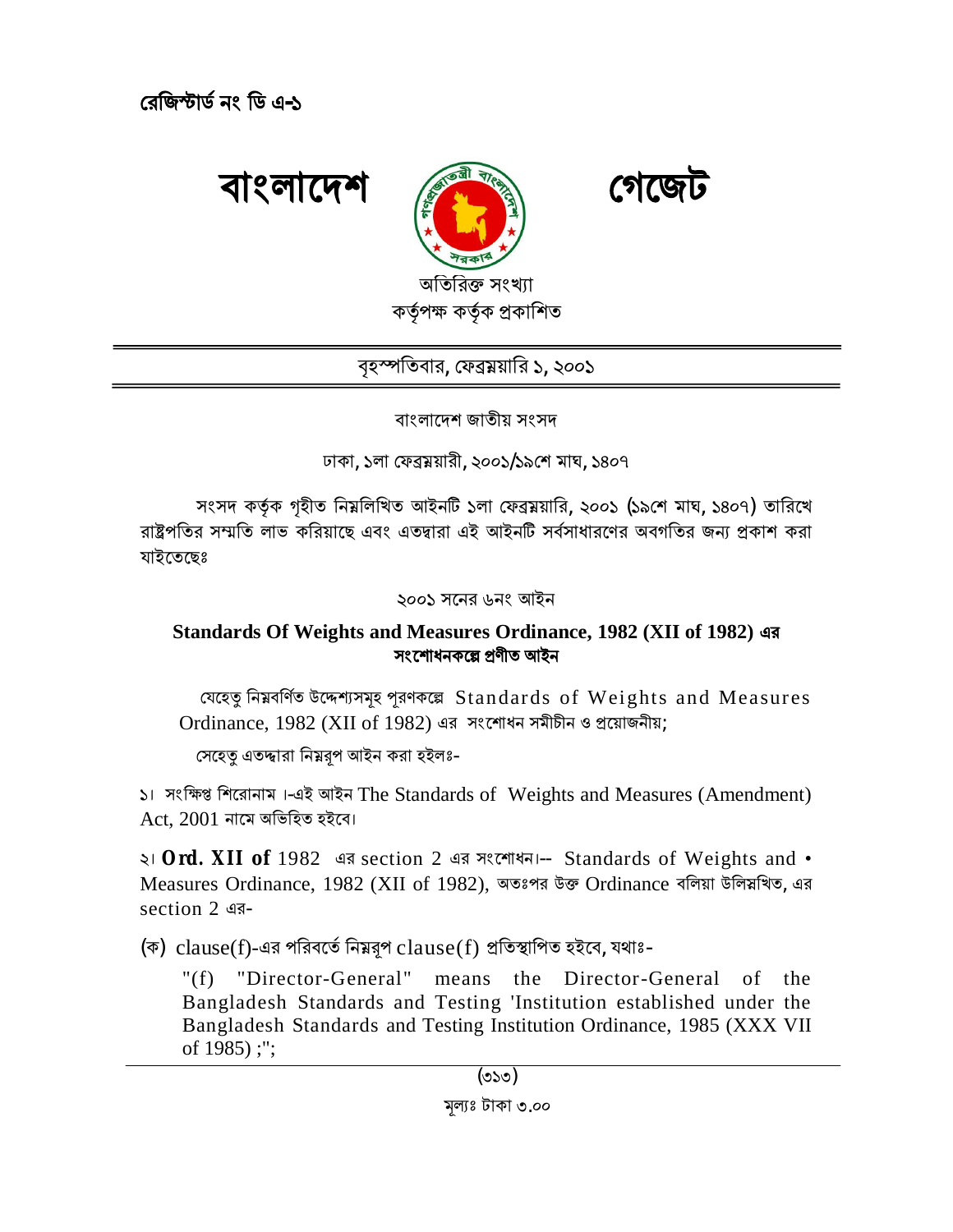**ǯরিজ̙াড নং িড এ ȟ -১**



বৃহস্পতিবার, ফেব্রম্নয়ারি ১, ২০০১

বাংলােদশ জাতীয় সংসদ

ঢাকা, ১লা ফেব্রময়ারী, ২০০১/১৯শে মাঘ, ১৪০৭

সংসদ কর্তৃক গৃহীত নিম্নলিখিত আইনটি ১লা ফেব্রম্নয়ারি, ২০০১ (১৯শে মাঘ, ১৪০৭) তারিখে রাষ্ট্রপতির সম্মতি লাভ করিয়াছে এবং এতদ্বারা এই আইনটি সর্বসাধারণের অবগতির জন্য প্রকাশ করা যাইেতেছঃ

২০০১ সেনর ৬নং আইন

## **Standards Of Weights and Measures Ordinance, 1982 (XII of 1982) এর সংেশাধনকে˾ ɛণীত আইন**

যেহেতু নিম্নবৰ্ণিত উদ্দেশ্যসমূহ পূরণকল্পে Standards of Weights and Measures Ordinance,  $1982$  (XII of  $1982$ ) এর সংশোধন সমীচীন ও প্রয়োজনীয়;

সেহেত এতদ্দারা নিম্নরপ আইন করা হইলঃ-

১। সংক্ষিপ্ত শিরোনাম।-এই আইন The Standards of Weights and Measures (Amendment)  $Act. 2001$  নামে অভিহিত হইবে।

২। **Ord. XII of** 1982 এর section 2 এর সংেশাধন।-- Standards of Weights and • Measures Ordinance, 1982 (XII of 1982), অতঃপর উক্ত Ordinance বলিয়া উলিয়খিত, এর section 2 এর-

(ক) clause(f)-এর পরিবর্তে নিম্নরূপ clause(f) প্রতিস্থাপিত হইবে, যথাঃ-

"(f) "Director-General" means the Director-General of the Bangladesh Standards and Testing 'Institution established under the Bangladesh Standards and Testing Institution Ordinance, 1985 (XXX VII of 1985) ;";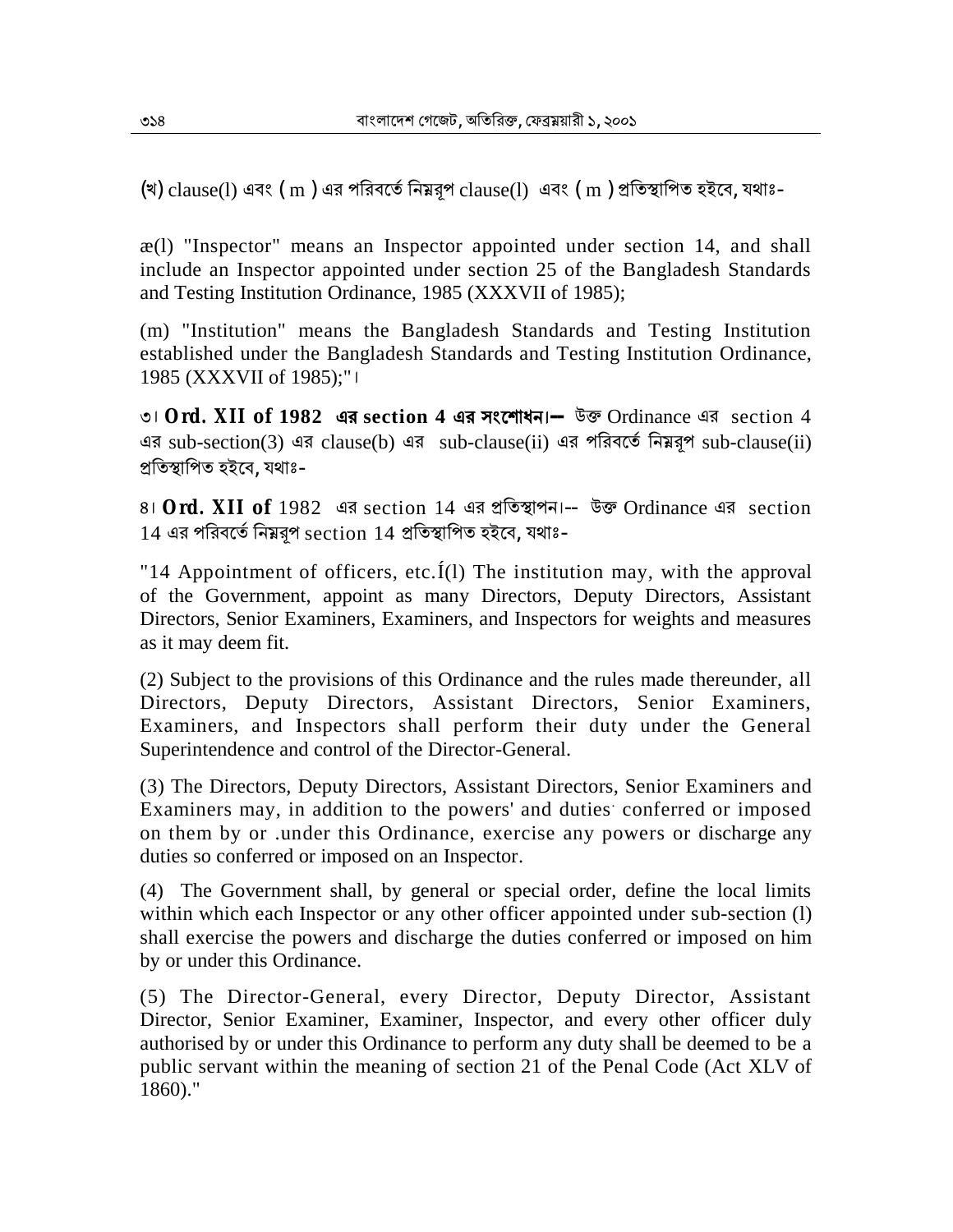(খ) clause(l) এবং (m) এর পরিবর্তে নিম্নরূপ clause(l) এবং (m) প্রতিস্থাপিত হইবে, যথাঃ-

æ(l) "Inspector" means an Inspector appointed under section 14, and shall include an Inspector appointed under section 25 of the Bangladesh Standards and Testing Institution Ordinance, 1985 (XXXVII of 1985);

(m) "Institution" means the Bangladesh Standards and Testing Institution established under the Bangladesh Standards and Testing Institution Ordinance, 1985 (XXXVII of 1985);"।

৩। **Ord. XII of 1982 এর section 4 এর সংেশাধন।--** উɳ Ordinance এর section 4 এর sub-section(3) এর clause(b) এর sub-clause(ii) এর পরিবর্তে নিম্নরূপ sub-clause(ii) প্ৰতিস্থাপিত হইবে, যথাঃ-

৪। **Ord. XII of** 1982 এর section 14 এর প্রতিস্থাপন।-- উক্ত Ordinance এর section  $14$  এর পরিবর্তে নিম্নরপ section  $14$  প্রতিস্থাপিত হইবে, যথাঃ-

"14 Appointment of officers, etc.  $\tilde{I}(1)$  The institution may, with the approval of the Government, appoint as many Directors, Deputy Directors, Assistant Directors, Senior Examiners, Examiners, and Inspectors for weights and measures as it may deem fit.

(2) Subject to the provisions of this Ordinance and the rules made thereunder, all Directors, Deputy Directors, Assistant Directors, Senior Examiners, Examiners, and Inspectors shall perform their duty under the General Superintendence and control of the Director-General.

(3) The Directors, Deputy Directors, Assistant Directors, Senior Examiners and Examiners may, in addition to the powers' and duties conferred or imposed on them by or .under this Ordinance, exercise any powers or discharge any duties so conferred or imposed on an Inspector.

(4) The Government shall, by general or special order, define the local limits within which each Inspector or any other officer appointed under sub-section (1) shall exercise the powers and discharge the duties conferred or imposed on him by or under this Ordinance.

(5) The Director-General, every Director, Deputy Director, Assistant Director, Senior Examiner, Examiner, Inspector, and every other officer duly authorised by or under this Ordinance to perform any duty shall be deemed to be a public servant within the meaning of section 21 of the Penal Code (Act XLV of 1860)."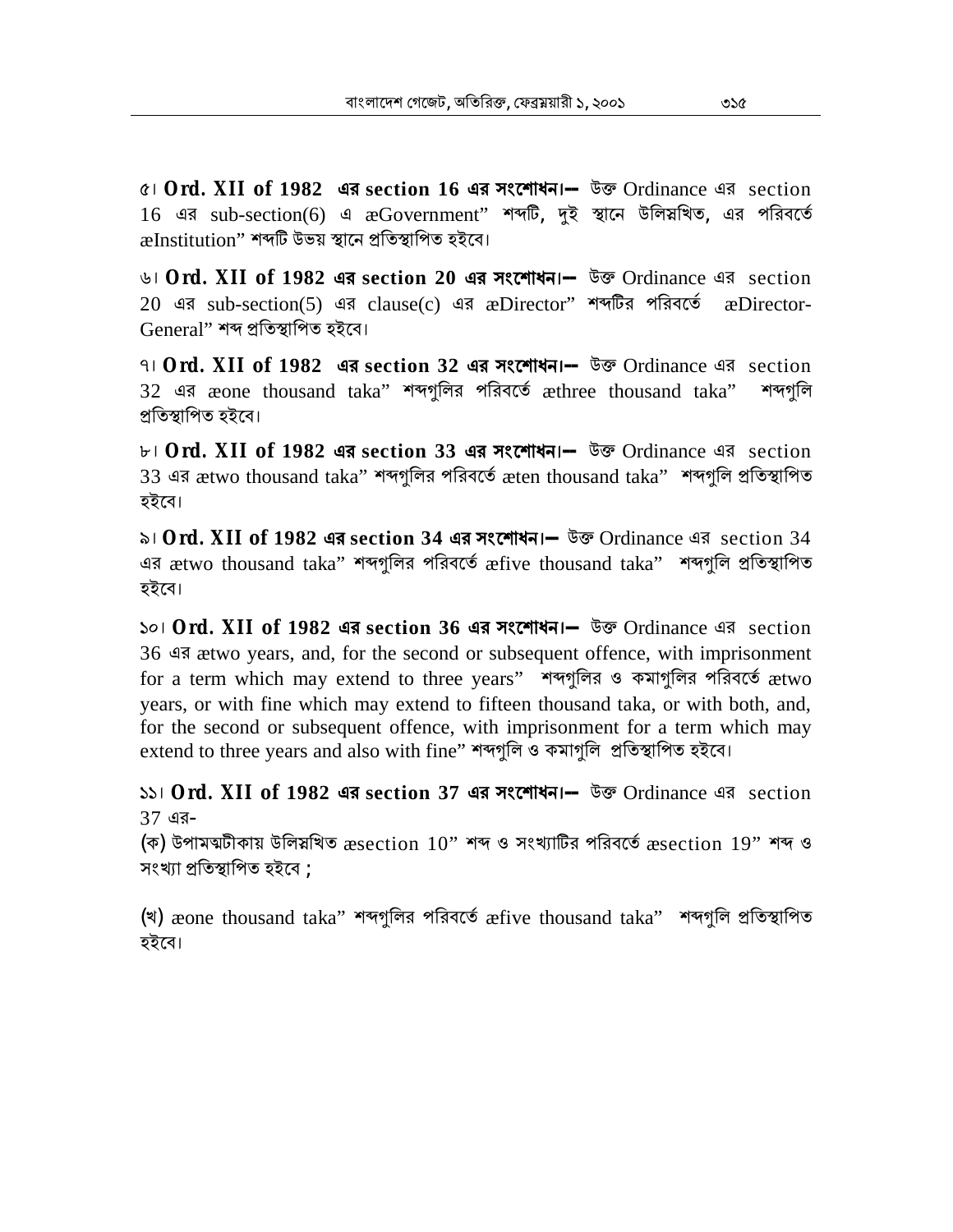৫। **Ord. XII of 1982 এর section 16 এর সংেশাধন।--** উɳ Ordinance এর section 16 এর sub-section(6) এ æGovernment" শব্দটি, দুই স্থানে উলিয়খিত, এর পরিবর্তে æInstitution'' শব্দটি উভয় স্থানে প্ৰতিস্থাপিত হইবে।

৬। **Ord. XII of 1982 এর section 20 এর সংেশাধন।--** উɳ Ordinance এর section 20 এর sub-section(5) এর clause(c) এর æDirector" শব্দটির পরিবর্তে æDirector-General" শব্দ প্ৰতিস্থাপিত হইবে।

৭। **Ord. XII of 1982 এর section 32 এর সংেশাধন।--** উɳ Ordinance এর section 32 এর æone thousand taka" শব্দগুলির পরিবর্তে æthree thousand taka" শব্দগুলি প্ৰতিস্থাপিত হইবে।

৮। **Ord. XII of 1982 এর section 33 এর সংেশাধন।--** উɳ Ordinance এর section 33 এর ætwo thousand taka" শব্দগুলির পরিবর্তে æten thousand taka" শব্দগুলি প্রতিস্থাপিত হইেব।

৯। **Ord. XII of 1982 এর section 34 এর সংেশাধন।--** উɳ Ordinance এর section 34 এর ætwo thousand taka" শব্দগুলির পরিবর্তে æfive thousand taka" শব্দগলি প্রতিস্থাপিত হইেব।

১০। **Ord. XII of 1982 এর section 36 এর সংেশাধন।--** উɳ Ordinance এর section 36 এর ætwo years, and, for the second or subsequent offence, with imprisonment for a term which may extend to three years" শব্দগুলির ও কমাগুলির পরিবর্তে ætwo years, or with fine which may extend to fifteen thousand taka, or with both, and, for the second or subsequent offence, with imprisonment for a term which may  $ext{end}$  to three years and also with fine" শব্দগুলি ও কমাগুলি প্ৰতিস্থাপিত হইবে।

১১। **Ord. XII of 1982 এর section 37 এর সংেশাধন।--** উɳ Ordinance এর section 37 এর-

(ক) উপামত্মটীকায় উলিস্নখিত  $\rm{æsection}$   $\rm\,10"$  শব্দ ও সংখ্যাটির পরিবর্তে  $\rm{æsection}$   $\rm\,19"$  শব্দ ও সংখ্যা প্ৰতিস্থাপিত হইবে ;

(খ) æone thousand taka" শব্দগুলির পরিবর্তে æfive thousand taka" শব্দগুলি প্রতিস্থাপিত হইেব।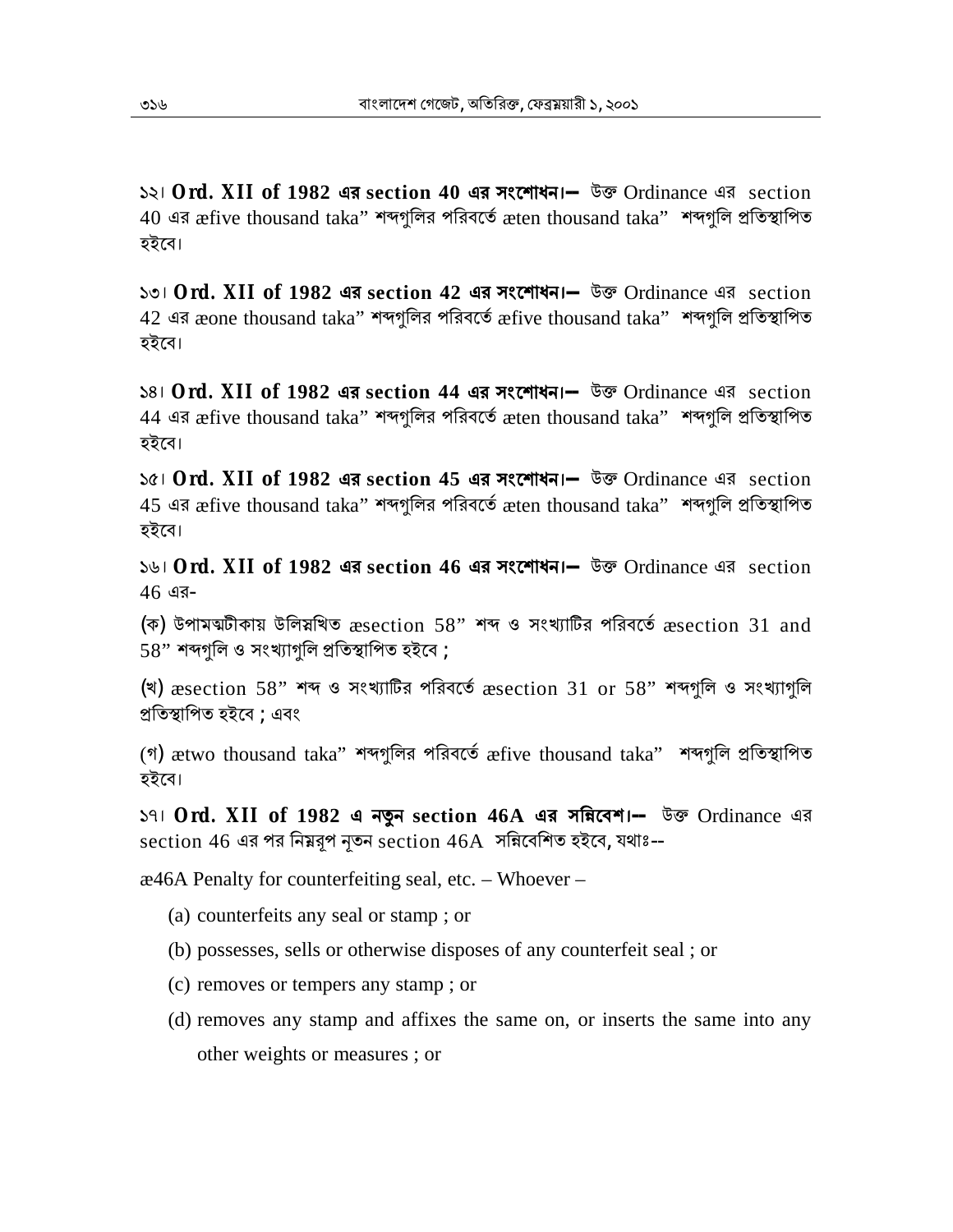১২। **Ord. XII of 1982 এর section 40 এর সংেশাধন।--** উɳ Ordinance এর section  $40$  এর  $\bm x$ five thousand taka" শব্দগুলির পরিবর্তে  $\bm x$ ten thousand taka" শব্দগুলি প্রতিস্থাপিত হইেব।

১৩। **Ord. XII of 1982 এর section 42 এর সংেশাধন।--** উɳ Ordinance এর section  $42$  এর æone thousand taka'' শব্দগলির পরিবর্তে  $\bm{\hat{x}}$ five thousand taka'' শব্দগলি প্রতিস্থাপিত হইেব।

১৪। **Ord. XII of 1982 এর section 44 এর সংেশাধন।--** উɳ Ordinance এর section 44 এর æfive thousand taka'' শব্দগুলির পরিবর্তে æten thousand taka'' শব্দগুলি প্রতিস্থাপিত হইেব।

১৫। **Ord. XII of 1982 এর section 45 এর সংেশাধন।--** উɳ Ordinance এর section 45 এর æfive thousand taka" শব্দগুলির পরিবর্তে æten thousand taka" শব্দগুলি প্রতিস্থাপিত হইেব।

১৬। **Ord. XII of 1982 এর section 46 এর সংেশাধন।--** উɳ Ordinance এর section 46 এর-

(ক) উপামঝটীকায় উলিয়খিত  $x$ section 58" শব্দ ও সংখ্যাটির পরিবর্তে  $x$ section 31 and  $58"$  শব্দগলি ও সংখ্যাগলি প্ৰতিস্থাপিত হইবে ;

(খ)  $\alpha$ section 58" শব্দ ও সংখ্যাটির পরিবর্তে  $\alpha$ section 31 or 58" শব্দগুলি ও সংখ্যাগুলি প্ৰতিস্থাপিত হইবে ; এবং

(গ) ætwo thousand taka" শব্দগুলির পরিবর্তে æfive thousand taka" শব্দগুলি প্রতিস্থাপিত হইেব।

১৭। **Ord. XII of 1982 এ নҶন section 46A এর সিˑেবশ।--** উɳ Ordinance এর  $\,$  section 46 এর পর নিম্নরূপ নৃতন $\,$  section  $46A$  সন্নিবেশিত হইবে, যথাঃ--

æ46A Penalty for counterfeiting seal, etc. – Whoever –

- (a) counterfeits any seal or stamp ; or
- (b) possesses, sells or otherwise disposes of any counterfeit seal ; or
- (c) removes or tempers any stamp ; or
- (d) removes any stamp and affixes the same on, or inserts the same into any other weights or measures ; or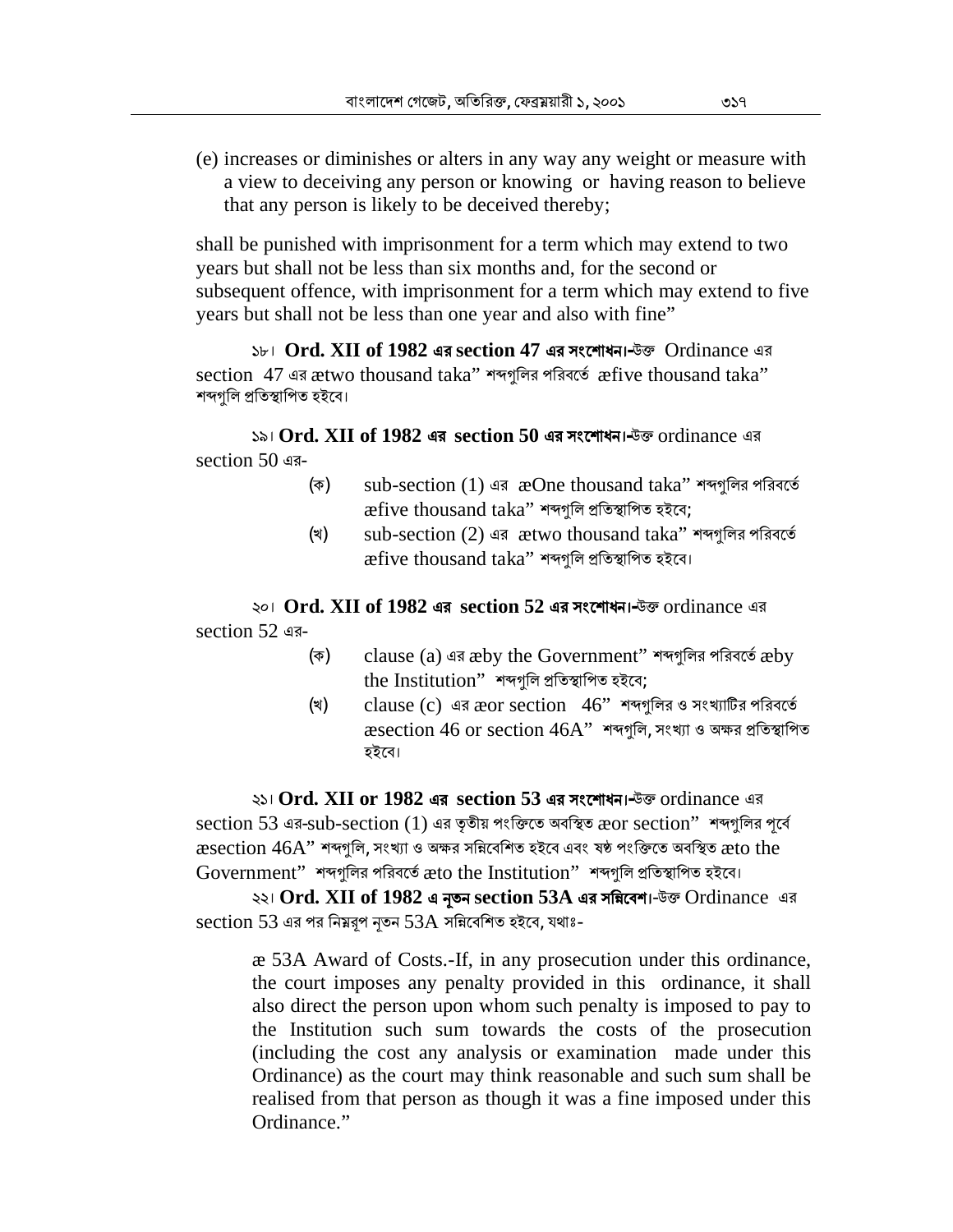(e) increases or diminishes or alters in any way any weight or measure with a view to deceiving any person or knowing or having reason to believe that any person is likely to be deceived thereby;

shall be punished with imprisonment for a term which may extend to two years but shall not be less than six months and, for the second or subsequent offence, with imprisonment for a term which may extend to five years but shall not be less than one year and also with fine"

 $S_{b}$ । **Ord. XII of 1982 এর section 47 এর সংশোধন।** উক্ত Ordinance এর section 47 এর ætwo thousand taka" শব্দগুলির পরিবর্তে æfive thousand taka" শব্দগুলি প্ৰতিস্থাপিত হইবে।

 $\lambda$ ১৯। **Ord. XII of 1982 এর section 50 এর সংশোধন।** উক্ত ordinance এর section 50 এর-

- (ক) sub-section (1) এর  $\infty$ One thousand taka" শব্দগুলির পরিবর্তে  $x$  five thousand taka" শব্দগুলি প্ৰতিস্থাপিত হইবে;
- (খ) sub-section (2) এর ætwo thousand taka" শব্দগুলির পরিবর্তে  $\mathcal E$  active thousand taka" শব্দগুলি প্ৰতিস্থাপিত হইবে।

২০। **Ord. XII of 1982 এর section 52 এর সংেশাধন।-**উɳ ordinance এর section 52 এর-

- (ক) clause (a) এর æby the Government" শব্দগুলির পরিবর্তে æby the Institution" শব্দগুলি প্ৰতিস্থাপিত হইবে;
- (খ) clause (c) এর  $\chi$ or section 46" শব্দগুলির ও সংখ্যাটির পরিবর্তে  $\alpha$  asection 46 or section 46A" শব্দগুলি, সংখ্যা ও অক্ষর প্রতিস্থাপিত হইেব।

২১। **Ord. XII or 1982 এর section 53 এর সংেশাধন।-**উɳ ordinance এর section 53 এর-sub-section (1) এর তৃতীয় পংক্তিতে অবস্থিত æor section" শব্দগুলির পূর্বে  $\,$  æsection  $46\mathrm{A}^\prime$  শব্দগলি, সংখ্যা ও অক্ষর সন্নিবেশিত হইবে এবং ষষ্ঠ পংক্তিতে অবস্থিত  $\,$ æto the  $Government"$  শব্দগুলির পরিবর্তে  $x$ to the Institution" শব্দগুলি প্রতিস্থাপিত হইবে।

২২। Ord. XII of 1982 এ নৃতন section 53A এর সন্নিবেশ।-উক্ত Ordinance এর section 53 এর পর নিম্নরূপ নৃতন 53A সন্নিবেশিত হইবে, যথাঃ-

æ 53A Award of Costs.-If, in any prosecution under this ordinance, the court imposes any penalty provided in this ordinance, it shall also direct the person upon whom such penalty is imposed to pay to the Institution such sum towards the costs of the prosecution (including the cost any analysis or examination made under this Ordinance) as the court may think reasonable and such sum shall be realised from that person as though it was a fine imposed under this Ordinance."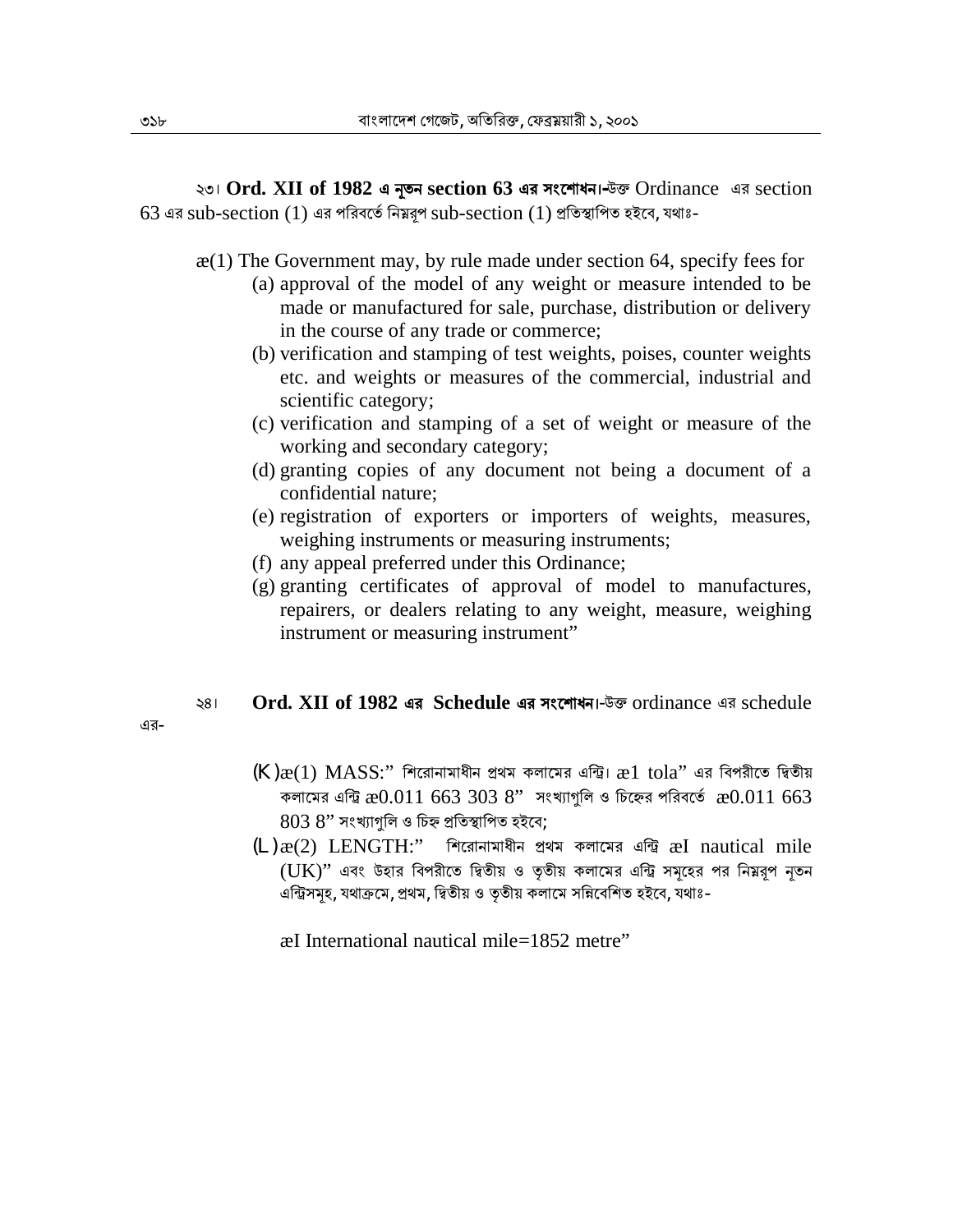২৩। **Ord. XII of 1982 এ Ӄতন section 63 এর সংেশাধন।-**উɳ Ordinance এর section  $63$  এর sub-section  $(1)$  এর পরিবর্তে নিম্নরূপ  $\text{sub-section } (1)$  প্রতিস্থাপিত হইবে, যথাঃ-

 $x(1)$  The Government may, by rule made under section 64, specify fees for

- (a) approval of the model of any weight or measure intended to be made or manufactured for sale, purchase, distribution or delivery in the course of any trade or commerce;
- (b) verification and stamping of test weights, poises, counter weights etc. and weights or measures of the commercial, industrial and scientific category;
- (c) verification and stamping of a set of weight or measure of the working and secondary category;
- (d) granting copies of any document not being a document of a confidential nature;
- (e) registration of exporters or importers of weights, measures, weighing instruments or measuring instruments;
- (f) any appeal preferred under this Ordinance;
- (g) granting certificates of approval of model to manufactures, repairers, or dealers relating to any weight, measure, weighing instrument or measuring instrument"

## ২৪। **Ord. XII of 1982 এর Schedule এর সংেশাধন।**-উɳ ordinance এর schedule

এর-

- $(K)\mathcal{X}(1)$   $MASS$ :" শিরোনামাধীন প্রথম কলামের এন্ট্রি।  $\mathcal{X}(1)$  tola" এর বিপরীতে দ্বিতীয় কলামের এন্ট্রি  $x0.011$  663 303 8" সংখ্যাগুলি ও চিহ্নের পরিবর্তে  $x0.011$  663  $8038"$  সংখ্যাগুলি ও চিহ্ন প্ৰতিস্থাপিত হইবে;
- $(L)\mathcal{R}(2)$  LENGTH:" শিরোনামাধীন প্রথম কলামের এন্ট্রি æI nautical mile  $(UK)$ " এবং উহার বিপরীতে দ্বিতীয় ও তৃতীয় কলামের এন্ট্রি সমূহের পর নিম্নরূপ নৃতন এন্ট্রিসমূহ, যথাক্রমে, প্রথম, দ্বিতীয় ও তৃতীয় কলামে সন্নিবেশিত হইবে, যথাঃ-

æI International nautical mile=1852 metre"